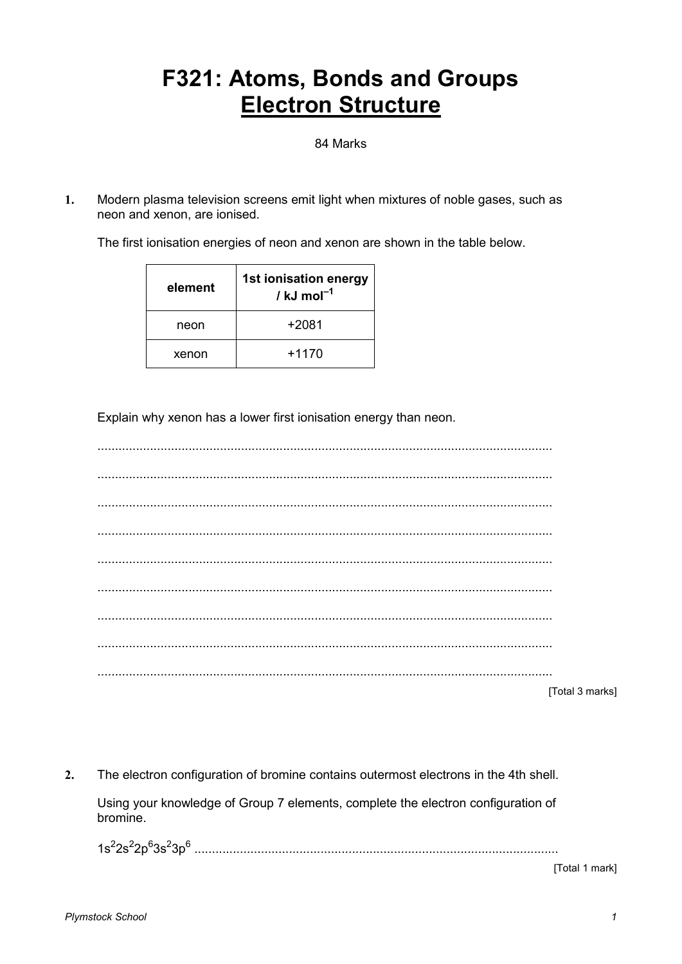## **F321: Atoms, Bonds and Groups Electron Structure**

84 Marks

Modern plasma television screens emit light when mixtures of noble gases, such as  $\mathbf{1}$ . neon and xenon, are ionised.

The first ionisation energies of neon and xenon are shown in the table below.

| element | 1st ionisation energy<br>/ kJ mol $^{-1}$ |
|---------|-------------------------------------------|
| neon    | +2081                                     |
| xenon   | $+1170$                                   |

Explain why xenon has a lower first ionisation energy than neon.

|  |  | $T \cap A \cap 3$ |
|--|--|-------------------|

[Total 3 marks]

 $2.$ The electron configuration of bromine contains outermost electrons in the 4th shell.

Using your knowledge of Group 7 elements, complete the electron configuration of bromine.

[Total 1 mark]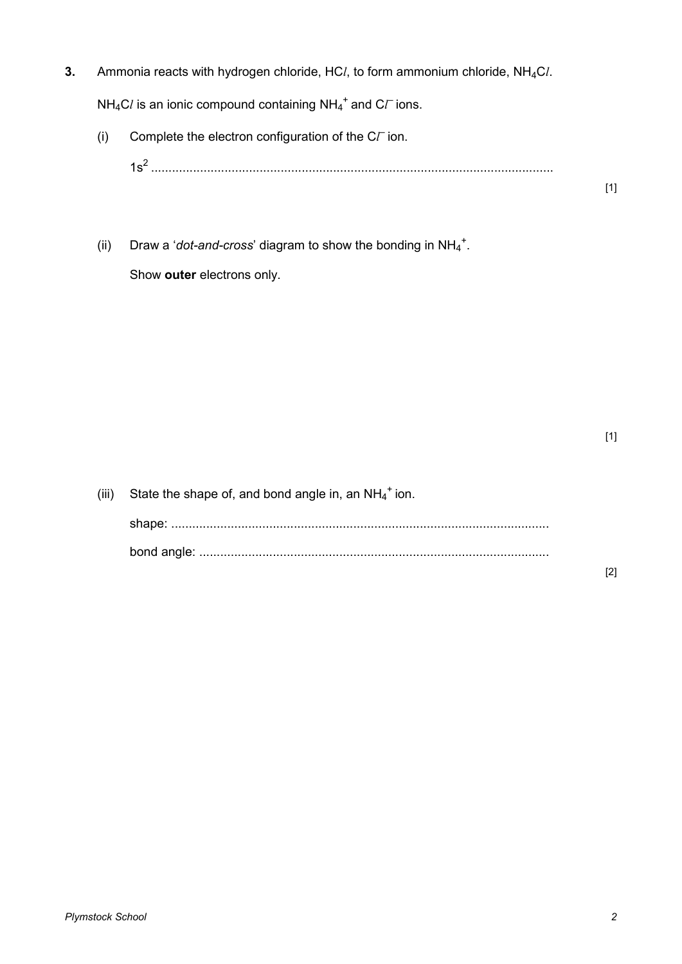**3.** Ammonia reacts with hydrogen chloride, HC*l*, to form ammonium chloride, NH4C*l*.

 $NH_4Cl$  is an ionic compound containing  $NH_4^+$  and  $C\ell$  ions.

(i) Complete the electron configuration of the  $C\Gamma$  ion.

1s<sup>2</sup> ...................................................................................................................

(ii) Draw a '*dot-and-cross*' diagram to show the bonding in  $NH_4^+$ . Show **outer** electrons only.

[1]

| (iii) | State the shape of, and bond angle in, an $NH_4^+$ ion. |
|-------|---------------------------------------------------------|
|       |                                                         |
|       |                                                         |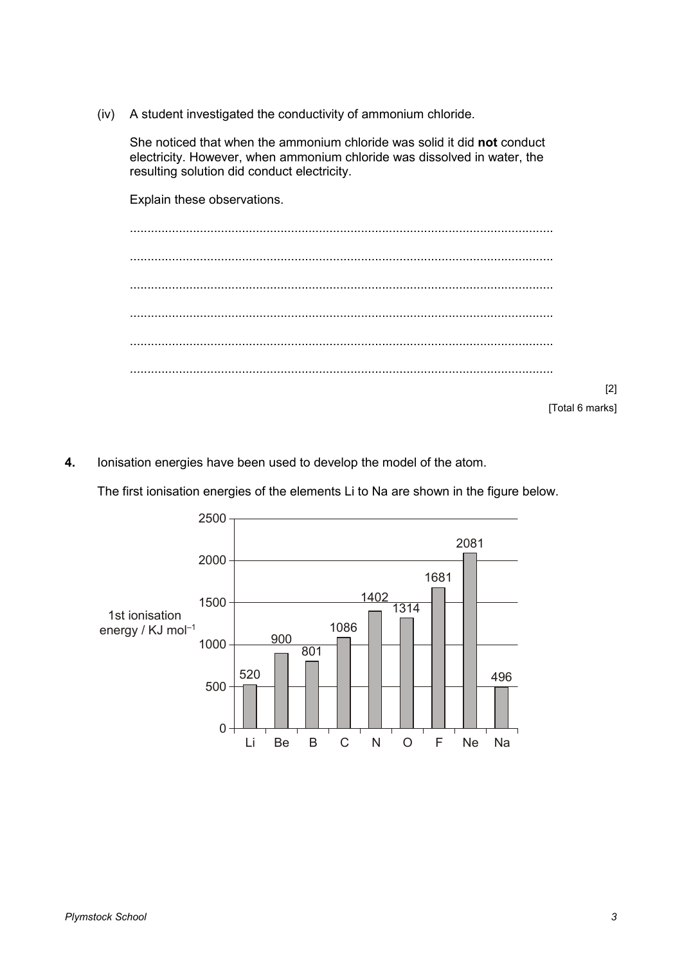(iv) A student investigated the conductivity of ammonium chloride.

 She noticed that when the ammonium chloride was solid it did **not** conduct electricity. However, when ammonium chloride was dissolved in water, the resulting solution did conduct electricity.

 Explain these observations. ......................................................................................................................... ......................................................................................................................... ......................................................................................................................... ......................................................................................................................... ......................................................................................................................... ......................................................................................................................... [2] [Total 6 marks]

**4.** Ionisation energies have been used to develop the model of the atom.

The first ionisation energies of the elements Li to Na are shown in the figure below.

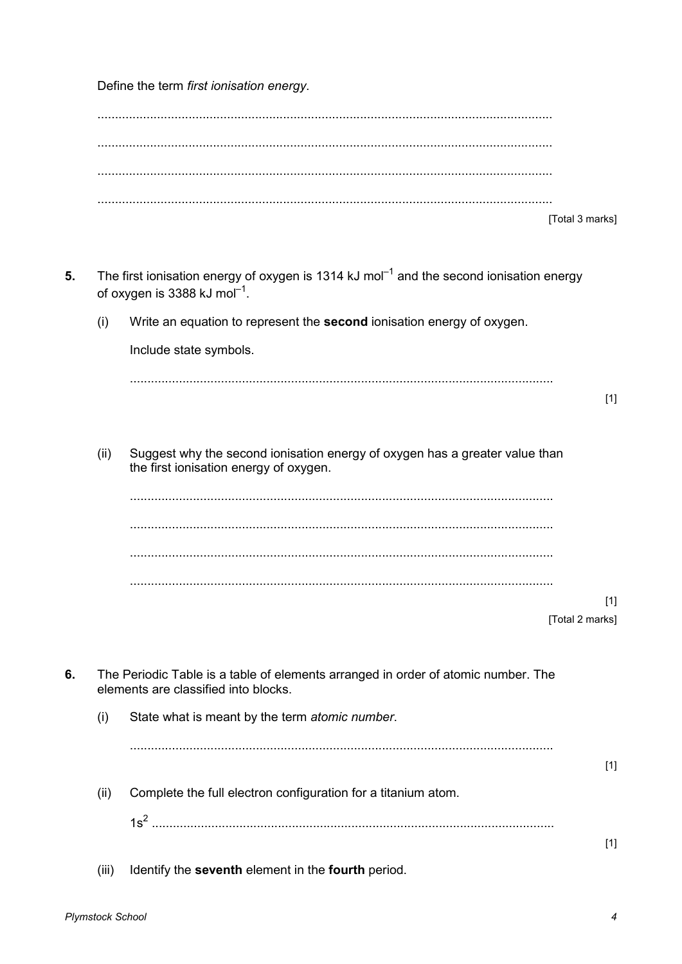Define the term first ionisation energy.

|    |       | [Total 3 marks]                                                                                                                                 |
|----|-------|-------------------------------------------------------------------------------------------------------------------------------------------------|
| 5. |       | The first ionisation energy of oxygen is 1314 kJ mol <sup>-1</sup> and the second ionisation energy<br>of oxygen is 3388 kJ mol <sup>-1</sup> . |
|    | (i)   | Write an equation to represent the second ionisation energy of oxygen.                                                                          |
|    |       | Include state symbols.                                                                                                                          |
|    |       | $[1]$                                                                                                                                           |
|    | (ii)  | Suggest why the second ionisation energy of oxygen has a greater value than<br>the first ionisation energy of oxygen.                           |
|    |       |                                                                                                                                                 |
|    |       |                                                                                                                                                 |
|    |       |                                                                                                                                                 |
|    |       | $[1]$<br>[Total 2 marks]                                                                                                                        |
| 6. |       | The Periodic Table is a table of elements arranged in order of atomic number. The<br>elements are classified into blocks.                       |
|    | (i)   | State what is meant by the term atomic number.                                                                                                  |
|    |       | $[1]$                                                                                                                                           |
|    | (ii)  | Complete the full electron configuration for a titanium atom.                                                                                   |
|    |       | $[1]$                                                                                                                                           |
|    | (iii) | Identify the seventh element in the fourth period.                                                                                              |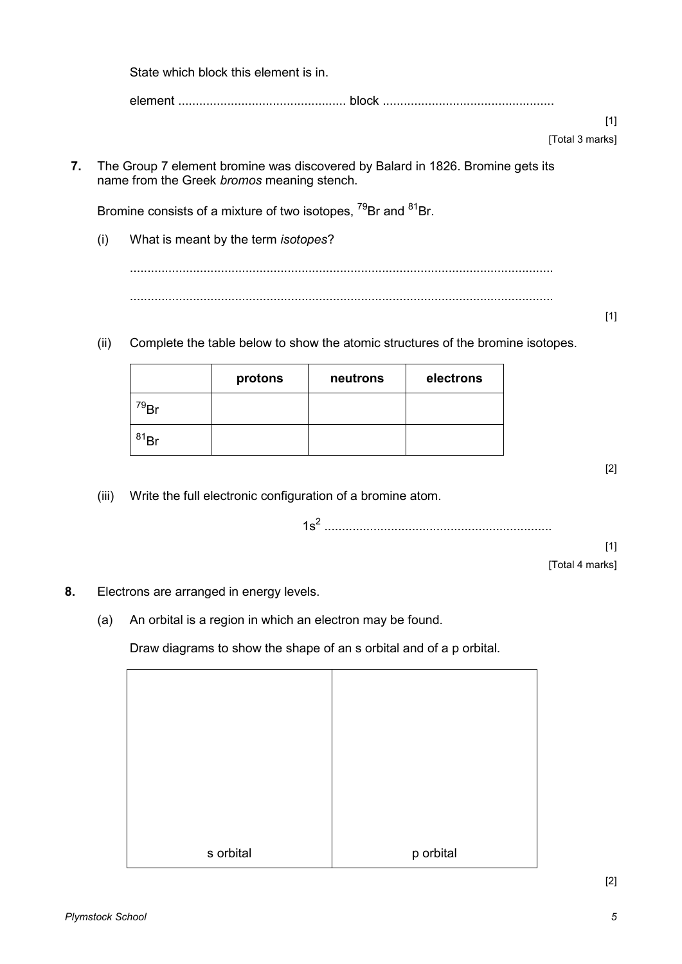**7.** The Group 7 element bromine was discovered by Balard in 1826. Bromine gets its name from the Greek *bromos* meaning stench. Bromine consists of a mixture of two isotopes, <sup>79</sup>Br and <sup>81</sup>Br. (i) What is meant by the term *isotopes*? ......................................................................................................................... ......................................................................................................................... [1] (ii) Complete the table below to show the atomic structures of the bromine isotopes. protons | neutrons | electrons <sup>79</sup>Br  $81Br$ [2] (iii) Write the full electronic configuration of a bromine atom. 1s<sup>2</sup> ................................................................. [1] [Total 4 marks] **8.** Electrons are arranged in energy levels. (a) An orbital is a region in which an electron may be found. Draw diagrams to show the shape of an s orbital and of a p orbital.

s orbital p orbital p orbital

element ................................................ block .................................................

State which block this element is in.

[1]

[Total 3 marks]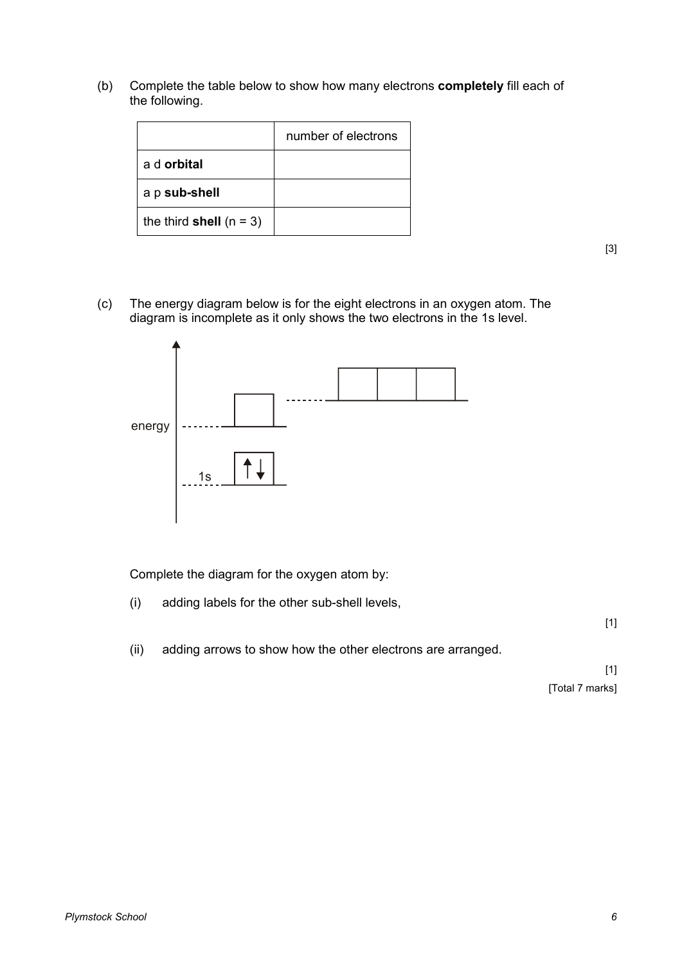(b) Complete the table below to show how many electrons **completely** fill each of the following.

|                           | number of electrons |
|---------------------------|---------------------|
| a d <b>orbital</b>        |                     |
| a p sub-shell             |                     |
| the third shell $(n = 3)$ |                     |

[3]

(c) The energy diagram below is for the eight electrons in an oxygen atom. The diagram is incomplete as it only shows the two electrons in the 1s level.



Complete the diagram for the oxygen atom by:

(i) adding labels for the other sub-shell levels,

[1]

(ii) adding arrows to show how the other electrons are arranged.

[1] [Total 7 marks]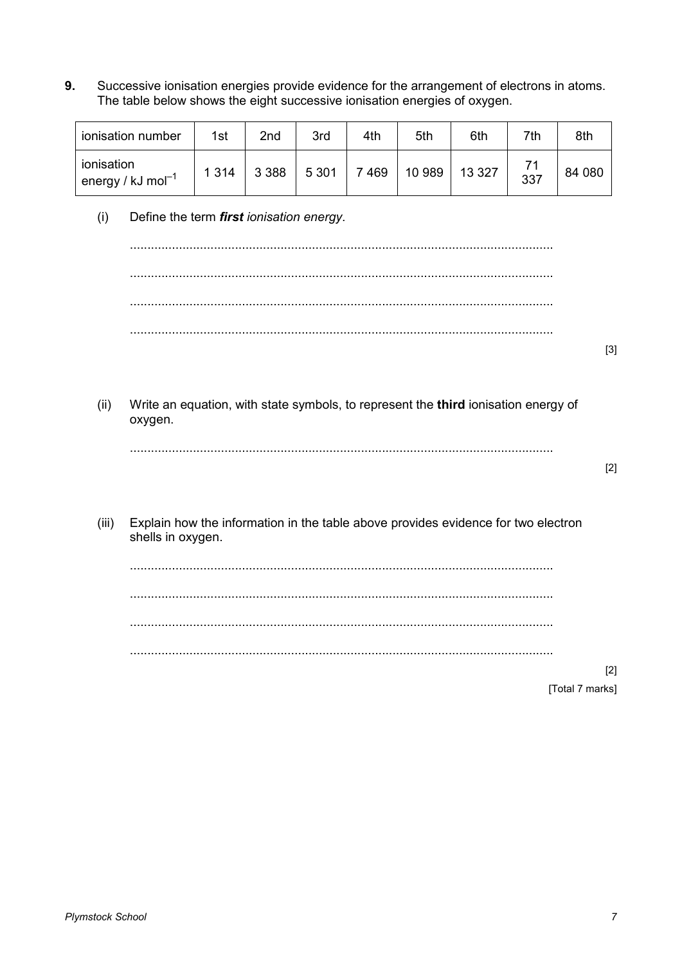$9.$ Successive ionisation energies provide evidence for the arrangement of electrons in atoms. The table below shows the eight successive ionisation energies of oxygen.

| ionisation number                               | 1st     | 2nd     | 3rd     | 4th | 5th    | 6th     | 7th | 8th    |
|-------------------------------------------------|---------|---------|---------|-----|--------|---------|-----|--------|
| ionisation<br>$^{\top}$ energy / kJ mol $^{-1}$ | 1 3 1 4 | 3 3 8 8 | 5 3 0 1 | 469 | 10 989 | 13 3 27 | 337 | 84 080 |

 $(i)$ Define the term first ionisation energy.

- $[3]$
- Write an equation, with state symbols, to represent the third ionisation energy of  $(ii)$ oxygen.

 $[2]$ 

Explain how the information in the table above provides evidence for two electron  $(iii)$ shells in oxygen.

 $[2]$ [Total 7 marks]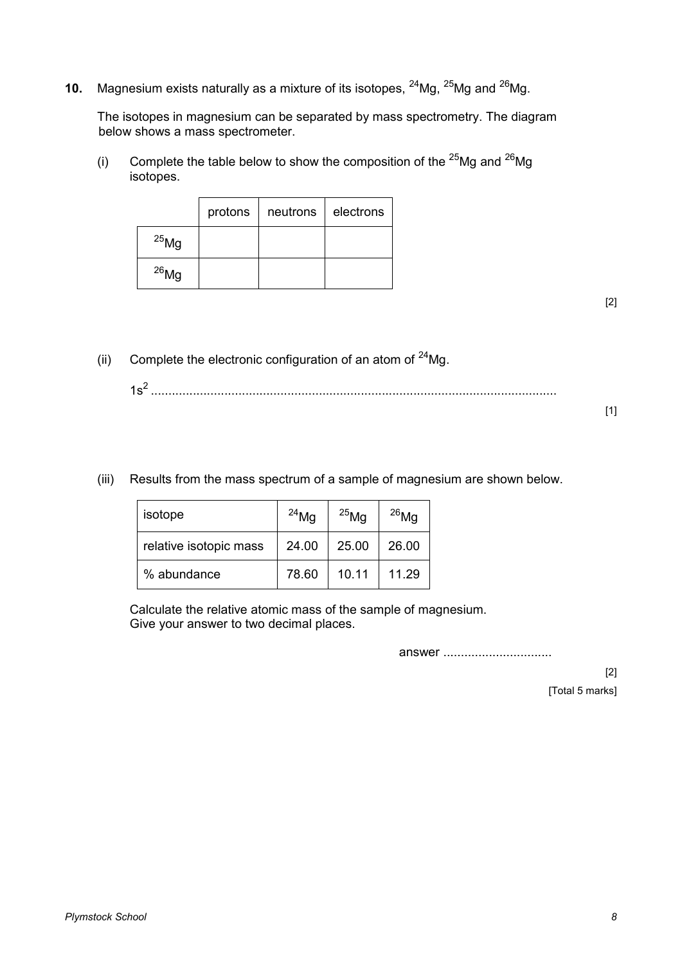**10.** Magnesium exists naturally as a mixture of its isotopes, <sup>24</sup>Mg, <sup>25</sup>Mg and <sup>26</sup>Mg.

The isotopes in magnesium can be separated by mass spectrometry. The diagram below shows a mass spectrometer.

(i) Complete the table below to show the composition of the  $^{25}Mg$  and  $^{26}Mg$ isotopes.

|            | protons | neutrons | electrons |
|------------|---------|----------|-----------|
| $^{25}$ Mg |         |          |           |
| $^{26}$ Mg |         |          |           |

[2]

(ii) Complete the electronic configuration of an atom of  $24$ Mg.

 $[1]$ 

(iii) Results from the mass spectrum of a sample of magnesium are shown below.

| isotope                | $^{24}$ Ma | $^{25}$ Mg | $^{26}$ Mg |
|------------------------|------------|------------|------------|
| relative isotopic mass | 24.00      | 25.00      | 26.00      |
| % abundance            | 78.60      | 10.11      | 11.29      |

Calculate the relative atomic mass of the sample of magnesium. Give your answer to two decimal places.

answer ...............................

[2] [Total 5 marks]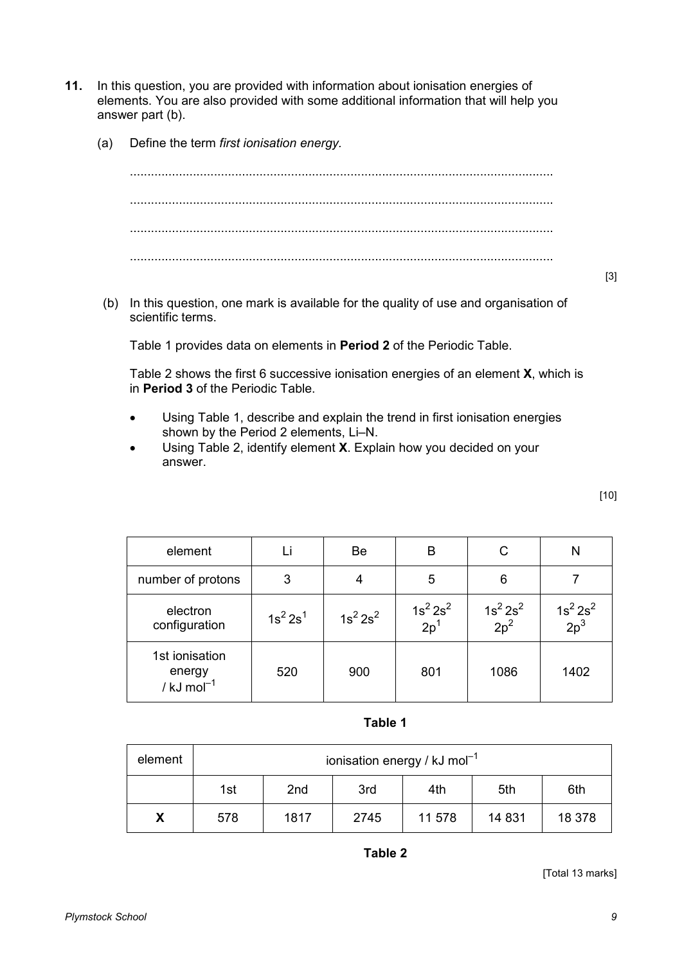- **11.** In this question, you are provided with information about ionisation energies of elements. You are also provided with some additional information that will help you answer part (b).
	- (a) Define the term *first ionisation energy.*

......................................................................................................................... ......................................................................................................................... ......................................................................................................................... .........................................................................................................................

[3]

[10]

 (b) In this question, one mark is available for the quality of use and organisation of scientific terms.

Table 1 provides data on elements in **Period 2** of the Periodic Table.

 Table 2 shows the first 6 successive ionisation energies of an element **X**, which is in **Period 3** of the Periodic Table.

- Using Table 1, describe and explain the trend in first ionisation energies shown by the Period 2 elements, Li–N.
- Using Table 2, identify element **X**. Explain how you decided on your answer.

| element                                              |             | Be          | В                      | С                      | N                      |
|------------------------------------------------------|-------------|-------------|------------------------|------------------------|------------------------|
| number of protons                                    | 3           |             | 5                      | 6                      |                        |
| electron<br>configuration                            | $1s^2 2s^1$ | $1s^2 2s^2$ | $\frac{1}{2} s^2 2s^2$ | $\frac{1}{2} s^2 2s^2$ | $\frac{1}{2} s^2 2s^2$ |
| 1st ionisation<br>energy<br>/ $kJ$ mol <sup>-1</sup> | 520         | 900         | 801                    | 1086                   | 1402                   |

**Table 1**

| element | ionisation energy / $kJ \text{ mol}^{-1}$ |                                             |      |        |        |        |  |  |  |
|---------|-------------------------------------------|---------------------------------------------|------|--------|--------|--------|--|--|--|
|         | 1st                                       | 2 <sub>nd</sub><br>3rd<br>5th<br>4th<br>6th |      |        |        |        |  |  |  |
| Х       | 578                                       | 1817                                        | 2745 | 11 578 | 14 831 | 18 378 |  |  |  |

**Table 2**

[Total 13 marks]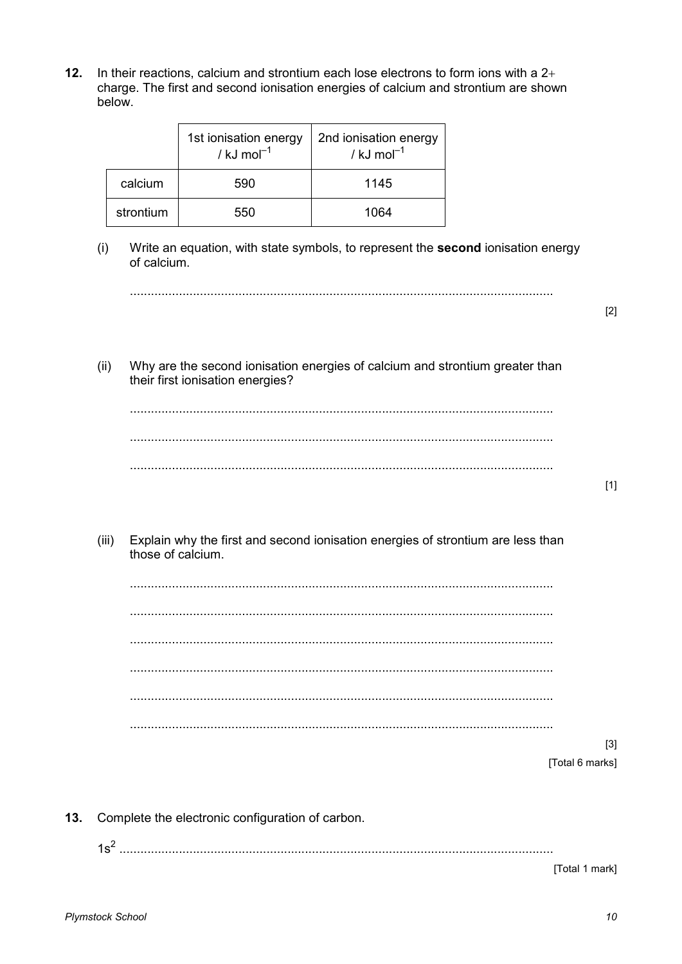$12.$ In their reactions, calcium and strontium each lose electrons to form ions with a  $2+$ charge. The first and second ionisation energies of calcium and strontium are shown below.

|           | 1st ionisation energy<br>/ $kJ \text{ mol}^{-1}$ | 2nd ionisation energy<br>/ kJ mol $^{-1}$ |
|-----------|--------------------------------------------------|-------------------------------------------|
| calcium   | 590                                              | 1145                                      |
| strontium | 550                                              | 1064                                      |

 $(i)$ Write an equation, with state symbols, to represent the second ionisation energy of calcium.

 $[2]$ 

Why are the second ionisation energies of calcium and strontium greater than  $(ii)$ their first ionisation energies?

 $[1]$ 

 $(iii)$ Explain why the first and second ionisation energies of strontium are less than those of calcium.

 $[3]$ [Total 6 marks]

Complete the electronic configuration of carbon.  $13.$ 

[Total 1 mark]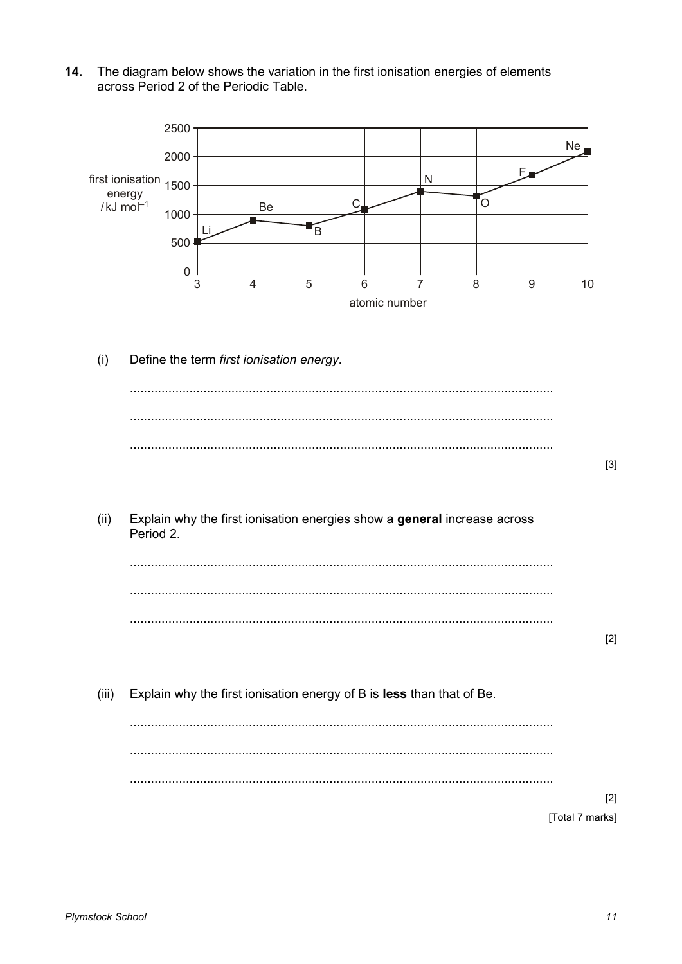The diagram below shows the variation in the first ionisation energies of elements  $14.$ across Period 2 of the Periodic Table.

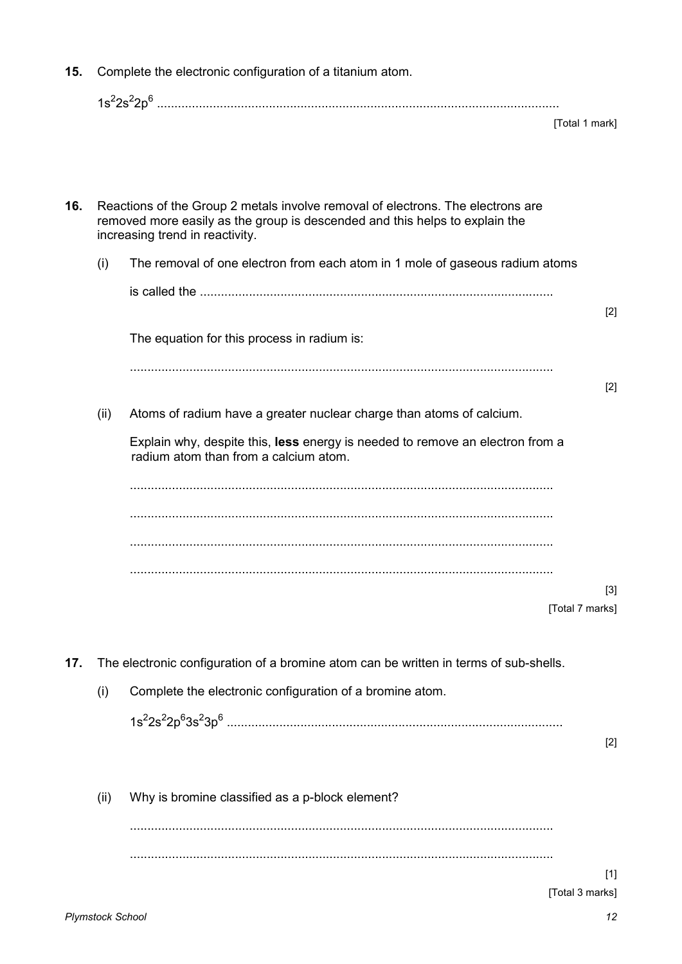| 15. | Complete the electronic configuration of a titanium atom. |                                                                                                                                                                                                   |                          |
|-----|-----------------------------------------------------------|---------------------------------------------------------------------------------------------------------------------------------------------------------------------------------------------------|--------------------------|
|     |                                                           |                                                                                                                                                                                                   | [Total 1 mark]           |
| 16. |                                                           | Reactions of the Group 2 metals involve removal of electrons. The electrons are<br>removed more easily as the group is descended and this helps to explain the<br>increasing trend in reactivity. |                          |
|     | (i)                                                       | The removal of one electron from each atom in 1 mole of gaseous radium atoms                                                                                                                      |                          |
|     |                                                           |                                                                                                                                                                                                   |                          |
|     |                                                           | The equation for this process in radium is:                                                                                                                                                       | $[2]$                    |
|     |                                                           |                                                                                                                                                                                                   | $[2]$                    |
|     | (ii)                                                      | Atoms of radium have a greater nuclear charge than atoms of calcium.                                                                                                                              |                          |
|     |                                                           | Explain why, despite this, less energy is needed to remove an electron from a<br>radium atom than from a calcium atom.                                                                            |                          |
|     |                                                           |                                                                                                                                                                                                   |                          |
|     |                                                           |                                                                                                                                                                                                   | $[3]$<br>[Total 7 marks] |
| 17. |                                                           | The electronic configuration of a bromine atom can be written in terms of sub-shells.                                                                                                             |                          |
|     | (i)                                                       | Complete the electronic configuration of a bromine atom.                                                                                                                                          |                          |
|     |                                                           |                                                                                                                                                                                                   | $[2]$                    |
|     | (ii)                                                      | Why is bromine classified as a p-block element?                                                                                                                                                   |                          |
|     |                                                           |                                                                                                                                                                                                   | $[1]$                    |
|     |                                                           |                                                                                                                                                                                                   | [Total 3 marks]          |